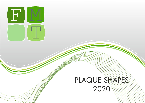

## PLAQUE SHARES 2020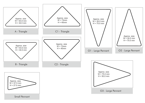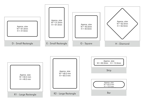

Approx. size  $W = 60.0$  mm  $H = 48.0$  mm R1 - Large Rectangle Approx. size  $W = 48.0$  mm  $H = 60.0$  mm R2 - Large Rectangle



Strip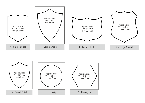

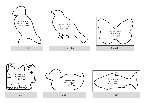

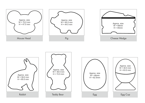



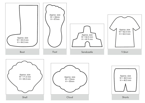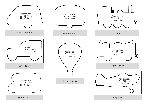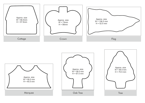

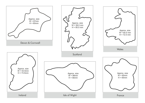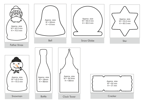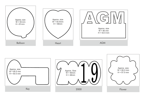

![](_page_11_Figure_1.jpeg)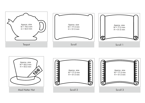![](_page_12_Figure_0.jpeg)

![](_page_12_Figure_1.jpeg)